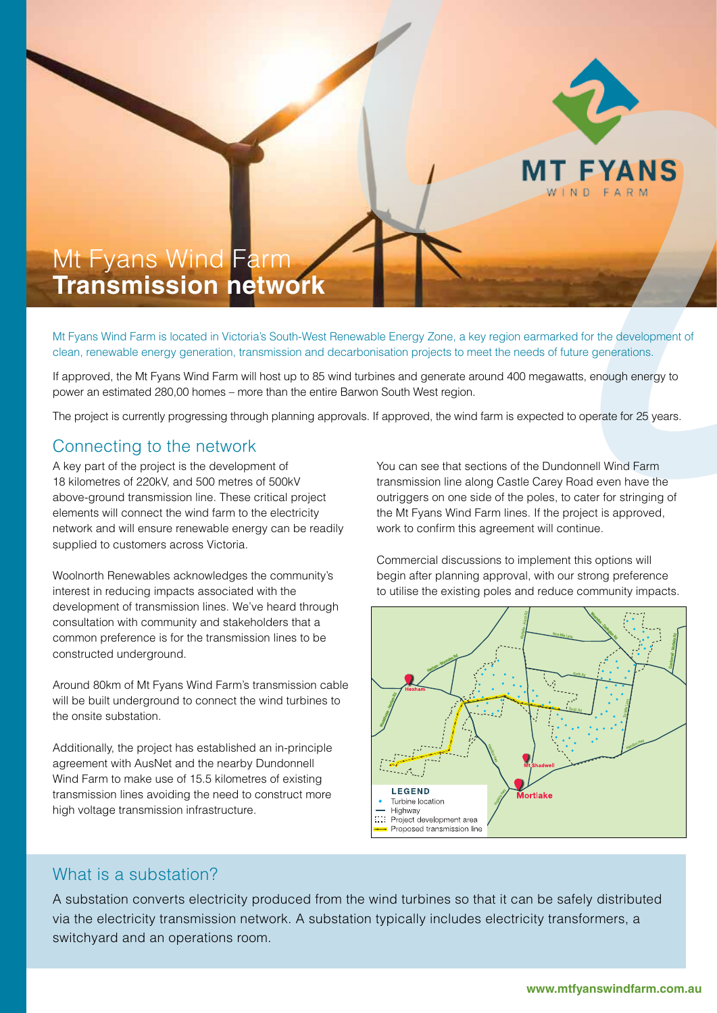

# Mt Fyans Wind Farm **Transmission network**

Mt Fyans Wind Farm is located in Victoria's South-West Renewable Energy Zone, a key region earmarked for the development of clean, renewable energy generation, transmission and decarbonisation projects to meet the needs of future generations.

If approved, the Mt Fyans Wind Farm will host up to 85 wind turbines and generate around 400 megawatts, enough energy to power an estimated 280,00 homes – more than the entire Barwon South West region.

The project is currently progressing through planning approvals. If approved, the wind farm is expected to operate for 25 years.

## Connecting to the network

A key part of the project is the development of 18 kilometres of 220kV, and 500 metres of 500kV above-ground transmission line. These critical project elements will connect the wind farm to the electricity network and will ensure renewable energy can be readily supplied to customers across Victoria.

Woolnorth Renewables acknowledges the community's interest in reducing impacts associated with the development of transmission lines. We've heard through consultation with community and stakeholders that a common preference is for the transmission lines to be constructed underground.

Around 80km of Mt Fyans Wind Farm's transmission cable will be built underground to connect the wind turbines to the onsite substation.

Additionally, the project has established an in-principle agreement with AusNet and the nearby Dundonnell Wind Farm to make use of 15.5 kilometres of existing transmission lines avoiding the need to construct more high voltage transmission infrastructure.

You can see that sections of the Dundonnell Wind Farm transmission line along Castle Carey Road even have the outriggers on one side of the poles, to cater for stringing of the Mt Fyans Wind Farm lines. If the project is approved, work to confirm this agreement will continue.

Commercial discussions to implement this options will begin after planning approval, with our strong preference to utilise the existing poles and reduce community impacts.



#### What is a substation?

A substation converts electricity produced from the wind turbines so that it can be safely distributed via the electricity transmission network. A substation typically includes electricity transformers, a switchyard and an operations room.